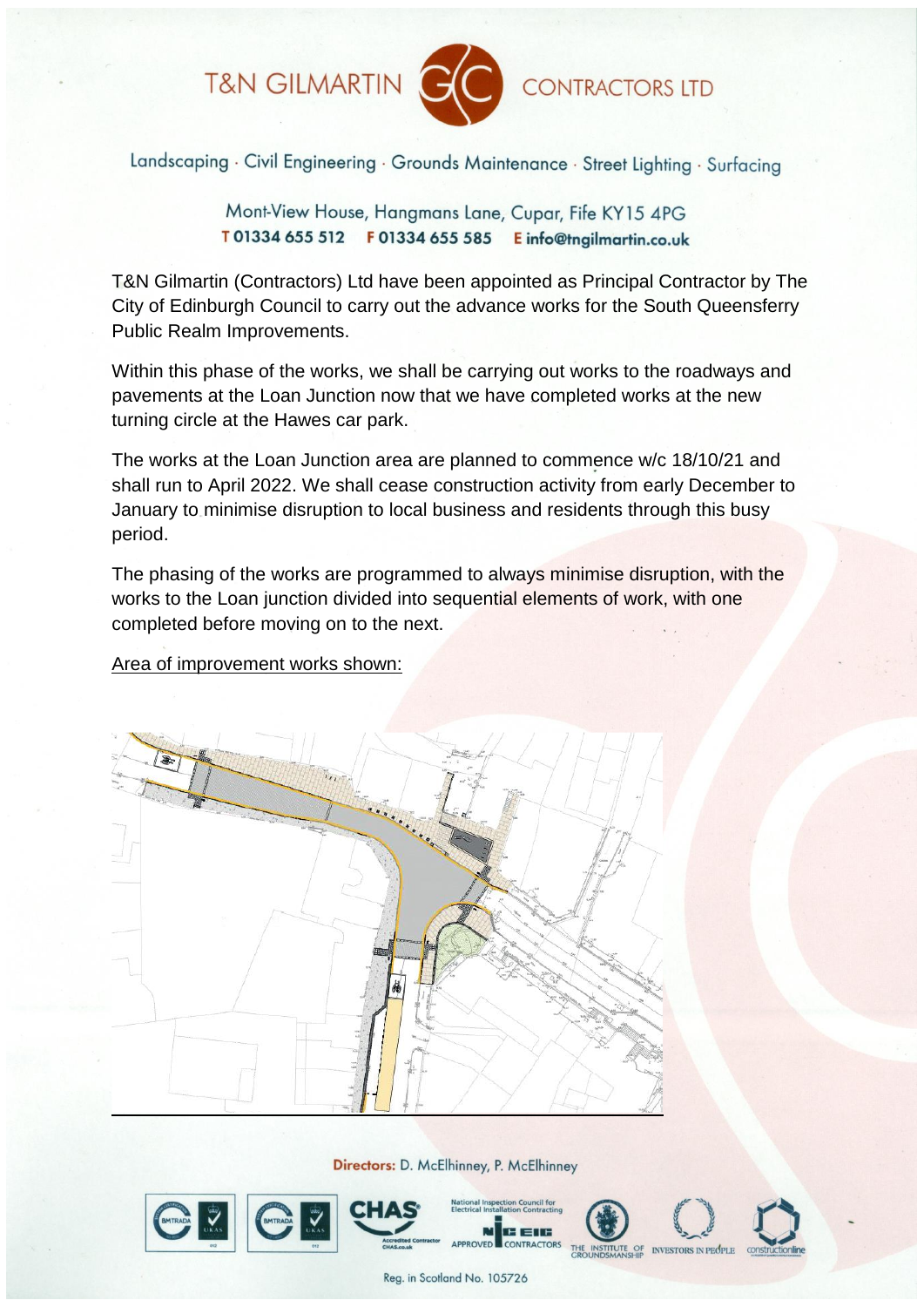T&N GILMARTIN



**CONTRACTORS LTD** 

Landscaping · Civil Engineering · Grounds Maintenance · Street Lighting · Surfacing

Mont-View House, Hangmans Lane, Cupar, Fife KY15 4PG T01334 655 512 F01334 655 585 E info@tngilmartin.co.uk

T&N Gilmartin (Contractors) Ltd have been appointed as Principal Contractor by The City of Edinburgh Council to carry out the advance works for the South Queensferry Public Realm Improvements.

Within this phase of the works, we shall be carrying out works to the roadways and pavements at the Loan Junction now that we have completed works at the new turning circle at the Hawes car park.

The works at the Loan Junction area are planned to commence w/c 18/10/21 and shall run to April 2022. We shall cease construction activity from early December to January to minimise disruption to local business and residents through this busy period.

The phasing of the works are programmed to always minimise disruption, with the works to the Loan junction divided into sequential elements of work, with one completed before moving on to the next.

Area of improvement works shown:



Directors: D. McElhinney, P. McElhinney



Reg. in Scotland No. 105726